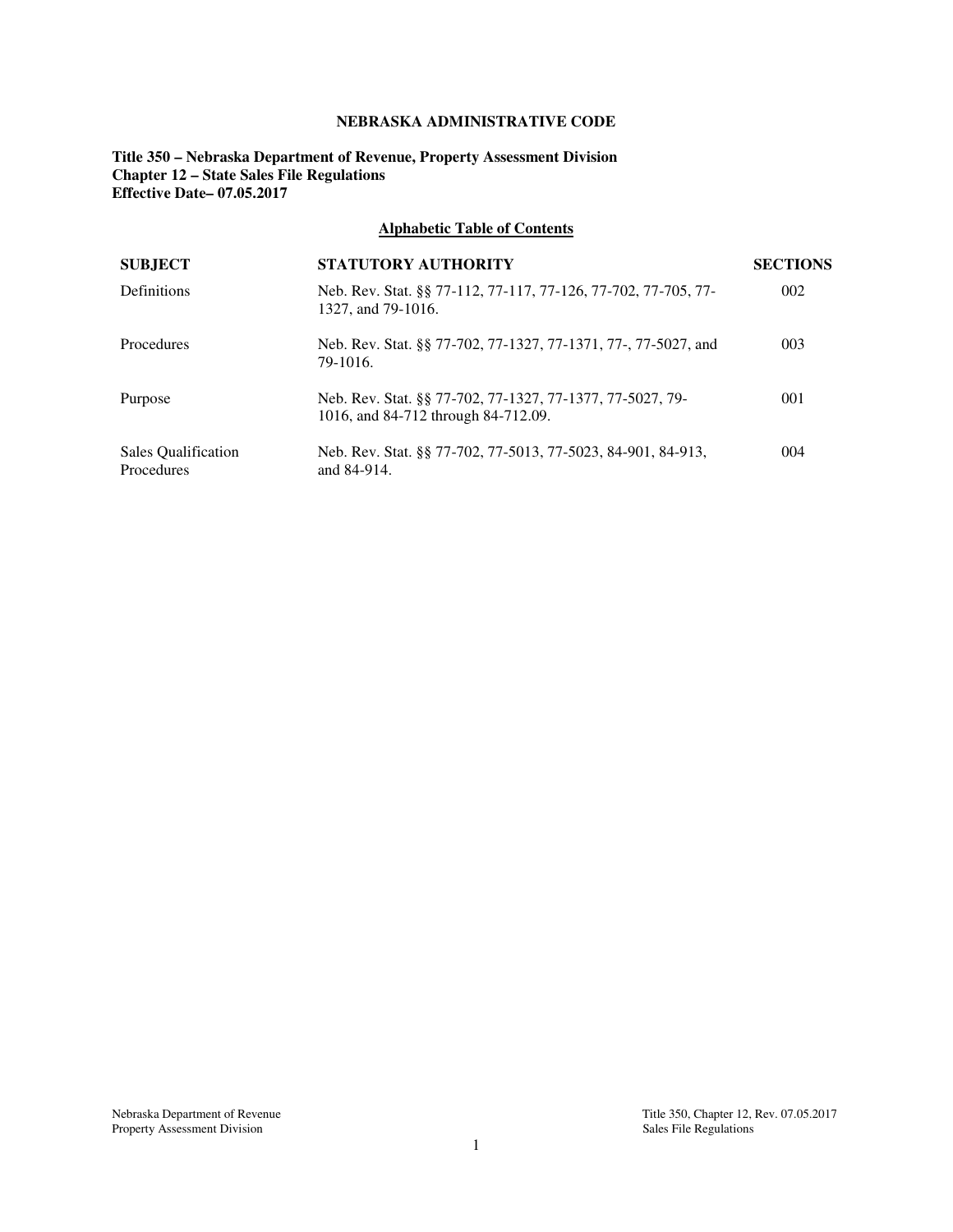## **NEBRASKA ADMINISTRATIVE CODE**

**Title 350 – Nebraska Department of Revenue, Property Assessment Division Chapter 12 – State Sales File Regulations Effective Date– 07.05.2017** 

## **Alphabetic Table of Contents**

| <b>SUBJECT</b>                    | <b>STATUTORY AUTHORITY</b>                                                                       | <b>SECTIONS</b> |
|-----------------------------------|--------------------------------------------------------------------------------------------------|-----------------|
| Definitions                       | Neb. Rev. Stat. §§ 77-112, 77-117, 77-126, 77-702, 77-705, 77-<br>1327, and 79-1016.             | 002             |
| Procedures                        | Neb. Rev. Stat. §§ 77-702, 77-1327, 77-1371, 77-, 77-5027, and<br>79-1016.                       | 003             |
| Purpose                           | Neb. Rev. Stat. §§ 77-702, 77-1327, 77-1377, 77-5027, 79-<br>1016, and 84-712 through 84-712.09. | 001             |
| Sales Qualification<br>Procedures | Neb. Rev. Stat. §§ 77-702, 77-5013, 77-5023, 84-901, 84-913,<br>and 84-914.                      | 004             |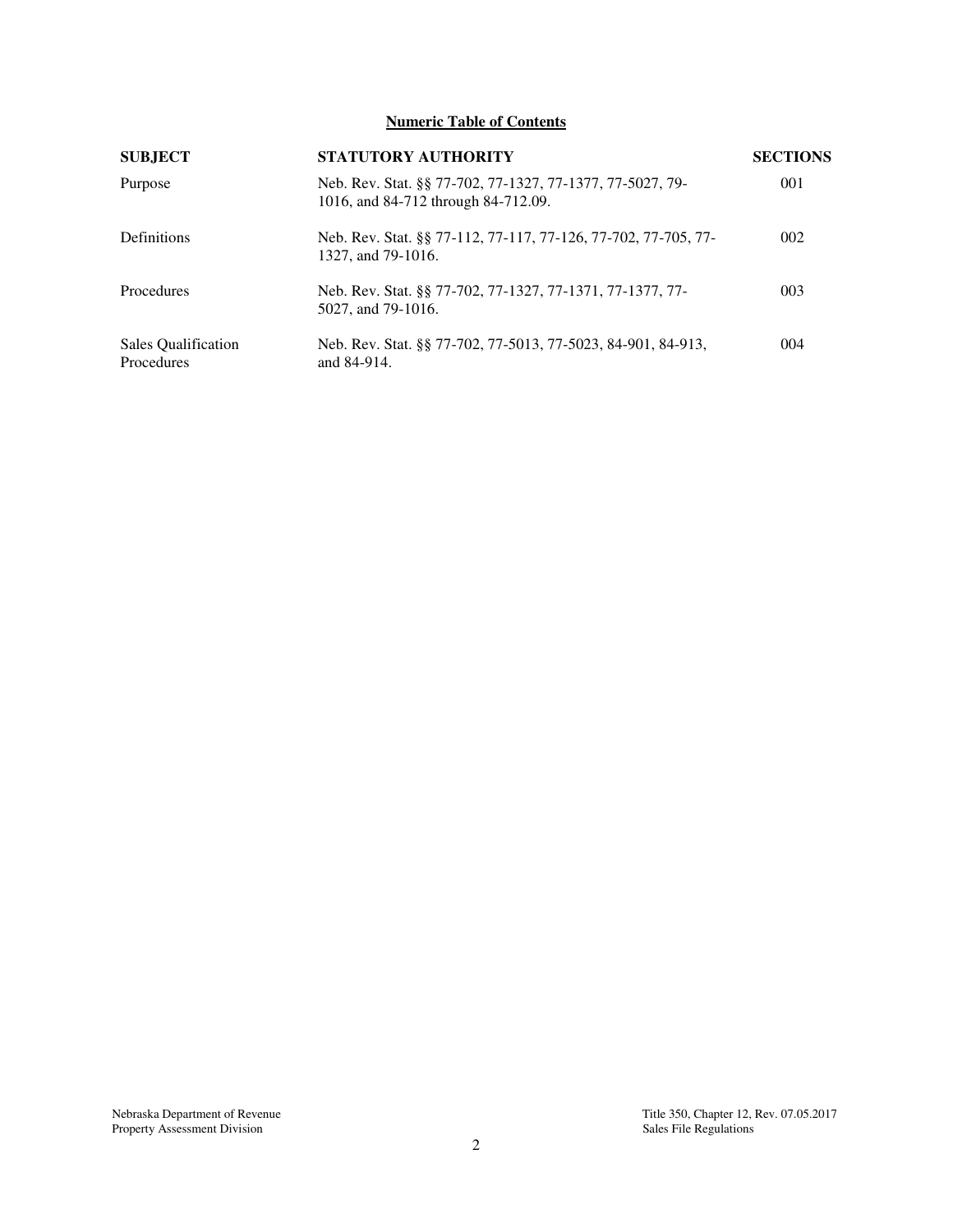# **Numeric Table of Contents**

| <b>SUBJECT</b>                    | <b>STATUTORY AUTHORITY</b>                                                                       | <b>SECTIONS</b> |
|-----------------------------------|--------------------------------------------------------------------------------------------------|-----------------|
| Purpose                           | Neb. Rev. Stat. §§ 77-702, 77-1327, 77-1377, 77-5027, 79-<br>1016, and 84-712 through 84-712.09. | 001             |
| Definitions                       | Neb. Rev. Stat. §§ 77-112, 77-117, 77-126, 77-702, 77-705, 77-<br>1327, and 79-1016.             | 002             |
| Procedures                        | Neb. Rev. Stat. §§ 77-702, 77-1327, 77-1371, 77-1377, 77-<br>5027, and 79-1016.                  | 003             |
| Sales Qualification<br>Procedures | Neb. Rev. Stat. §§ 77-702, 77-5013, 77-5023, 84-901, 84-913,<br>and 84-914.                      | 004             |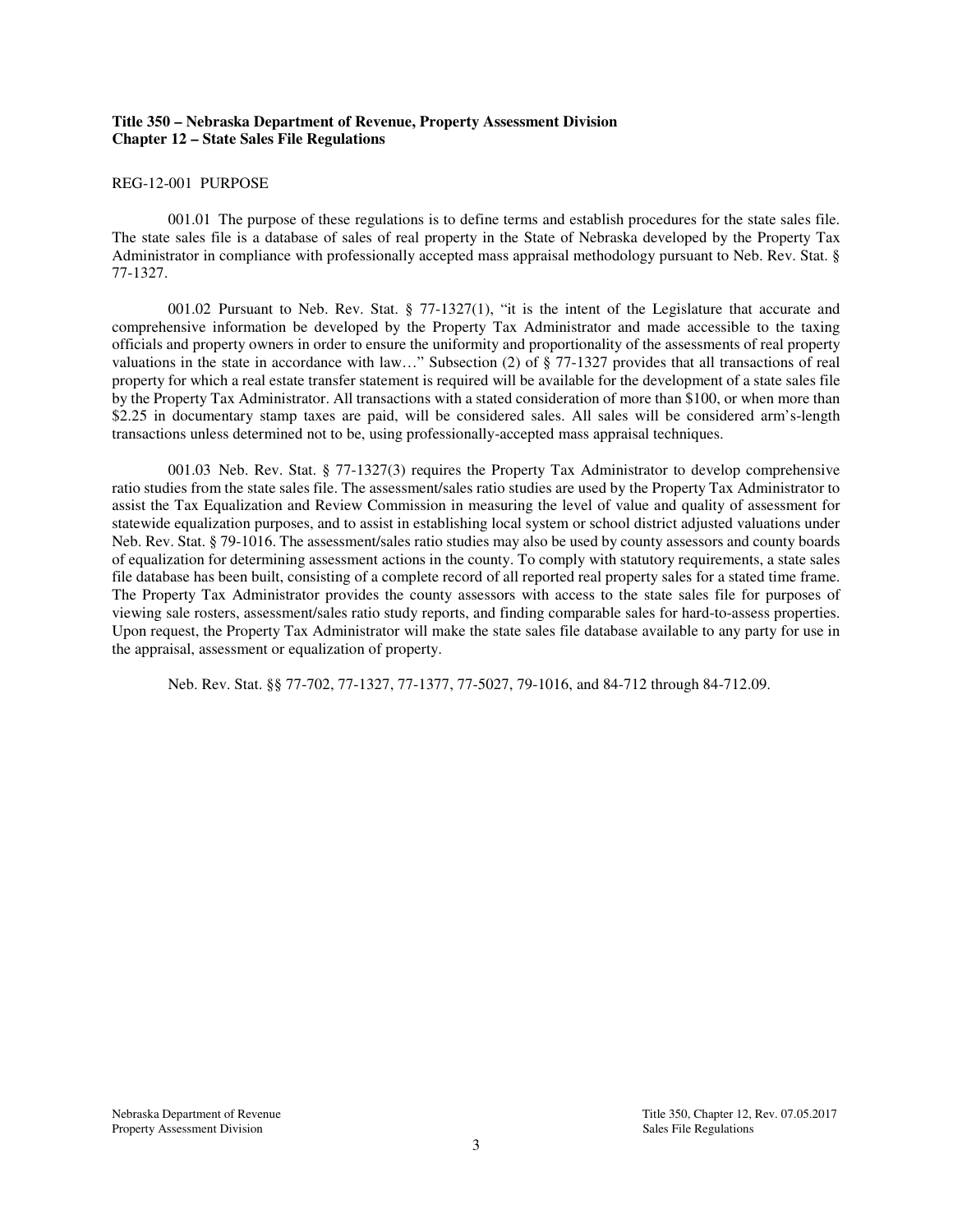## **Title 350 – Nebraska Department of Revenue, Property Assessment Division Chapter 12 – State Sales File Regulations**

#### REG-12-001 PURPOSE

001.01 The purpose of these regulations is to define terms and establish procedures for the state sales file. The state sales file is a database of sales of real property in the State of Nebraska developed by the Property Tax Administrator in compliance with professionally accepted mass appraisal methodology pursuant to Neb. Rev. Stat. § 77-1327.

001.02 Pursuant to Neb. Rev. Stat. § 77-1327(1), "it is the intent of the Legislature that accurate and comprehensive information be developed by the Property Tax Administrator and made accessible to the taxing officials and property owners in order to ensure the uniformity and proportionality of the assessments of real property valuations in the state in accordance with law..." Subsection (2) of  $\frac{2}{5}$  77-1327 provides that all transactions of real property for which a real estate transfer statement is required will be available for the development of a state sales file by the Property Tax Administrator. All transactions with a stated consideration of more than \$100, or when more than \$2.25 in documentary stamp taxes are paid, will be considered sales. All sales will be considered arm's-length transactions unless determined not to be, using professionally-accepted mass appraisal techniques.

001.03 Neb. Rev. Stat. § 77-1327(3) requires the Property Tax Administrator to develop comprehensive ratio studies from the state sales file. The assessment/sales ratio studies are used by the Property Tax Administrator to assist the Tax Equalization and Review Commission in measuring the level of value and quality of assessment for statewide equalization purposes, and to assist in establishing local system or school district adjusted valuations under Neb. Rev. Stat. § 79-1016. The assessment/sales ratio studies may also be used by county assessors and county boards of equalization for determining assessment actions in the county. To comply with statutory requirements, a state sales file database has been built, consisting of a complete record of all reported real property sales for a stated time frame. The Property Tax Administrator provides the county assessors with access to the state sales file for purposes of viewing sale rosters, assessment/sales ratio study reports, and finding comparable sales for hard-to-assess properties. Upon request, the Property Tax Administrator will make the state sales file database available to any party for use in the appraisal, assessment or equalization of property.

Neb. Rev. Stat. §§ 77-702, 77-1327, 77-1377, 77-5027, 79-1016, and 84-712 through 84-712.09.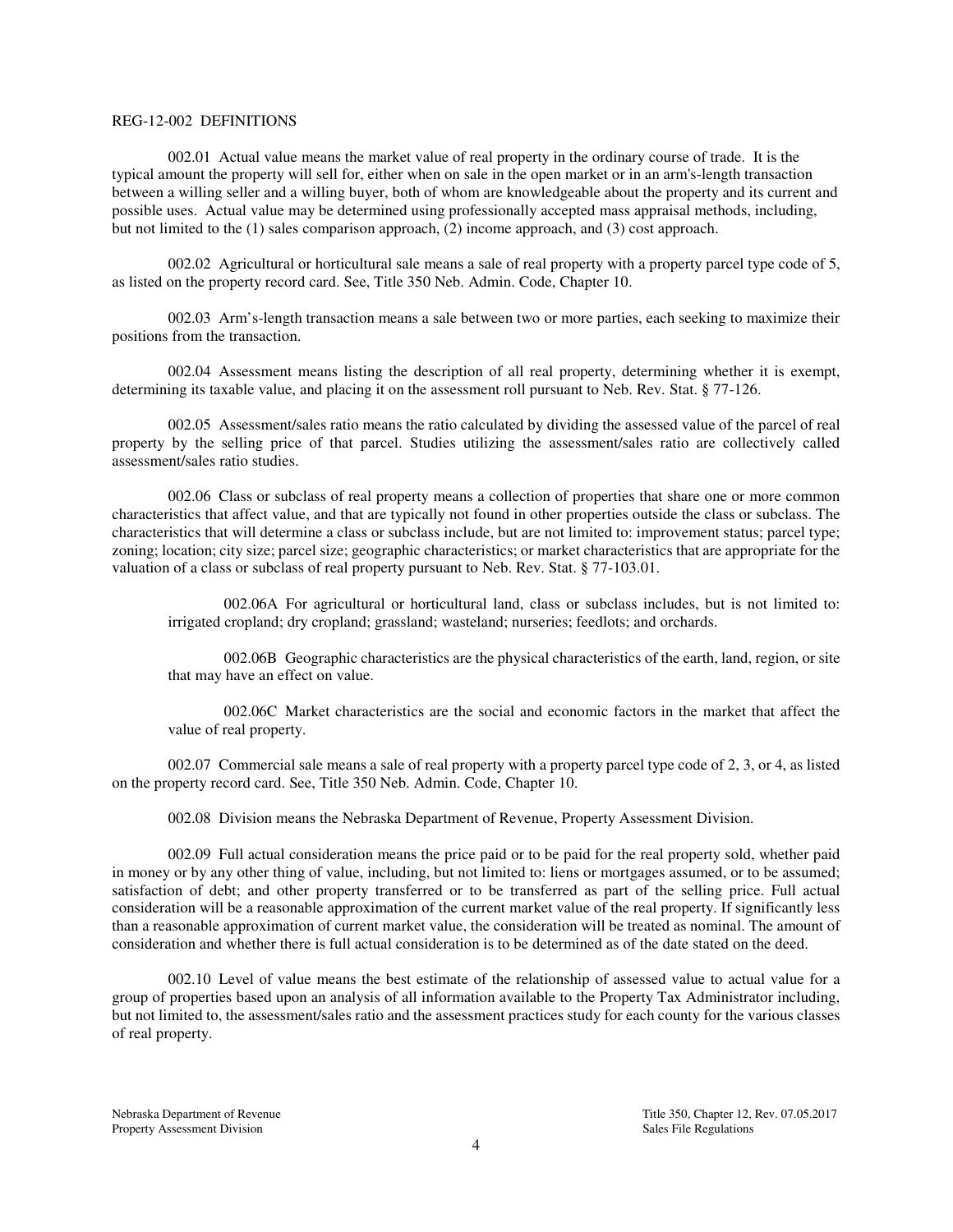#### REG-12-002 DEFINITIONS

002.01 Actual value means the market value of real property in the ordinary course of trade. It is the typical amount the property will sell for, either when on sale in the open market or in an arm's-length transaction between a willing seller and a willing buyer, both of whom are knowledgeable about the property and its current and possible uses. Actual value may be determined using professionally accepted mass appraisal methods, including, but not limited to the (1) sales comparison approach, (2) income approach, and (3) cost approach.

002.02 Agricultural or horticultural sale means a sale of real property with a property parcel type code of 5, as listed on the property record card. See, Title 350 Neb. Admin. Code, Chapter 10.

002.03 Arm's-length transaction means a sale between two or more parties, each seeking to maximize their positions from the transaction.

002.04 Assessment means listing the description of all real property, determining whether it is exempt, determining its taxable value, and placing it on the assessment roll pursuant to Neb. Rev. Stat. § 77-126.

002.05 Assessment/sales ratio means the ratio calculated by dividing the assessed value of the parcel of real property by the selling price of that parcel. Studies utilizing the assessment/sales ratio are collectively called assessment/sales ratio studies.

002.06 Class or subclass of real property means a collection of properties that share one or more common characteristics that affect value, and that are typically not found in other properties outside the class or subclass. The characteristics that will determine a class or subclass include, but are not limited to: improvement status; parcel type; zoning; location; city size; parcel size; geographic characteristics; or market characteristics that are appropriate for the valuation of a class or subclass of real property pursuant to Neb. Rev. Stat. § 77-103.01.

002.06A For agricultural or horticultural land, class or subclass includes, but is not limited to: irrigated cropland; dry cropland; grassland; wasteland; nurseries; feedlots; and orchards.

002.06B Geographic characteristics are the physical characteristics of the earth, land, region, or site that may have an effect on value.

002.06C Market characteristics are the social and economic factors in the market that affect the value of real property.

002.07 Commercial sale means a sale of real property with a property parcel type code of 2, 3, or 4, as listed on the property record card. See, Title 350 Neb. Admin. Code, Chapter 10.

002.08 Division means the Nebraska Department of Revenue, Property Assessment Division.

002.09 Full actual consideration means the price paid or to be paid for the real property sold, whether paid in money or by any other thing of value, including, but not limited to: liens or mortgages assumed, or to be assumed; satisfaction of debt; and other property transferred or to be transferred as part of the selling price. Full actual consideration will be a reasonable approximation of the current market value of the real property. If significantly less than a reasonable approximation of current market value, the consideration will be treated as nominal. The amount of consideration and whether there is full actual consideration is to be determined as of the date stated on the deed.

002.10 Level of value means the best estimate of the relationship of assessed value to actual value for a group of properties based upon an analysis of all information available to the Property Tax Administrator including, but not limited to, the assessment/sales ratio and the assessment practices study for each county for the various classes of real property.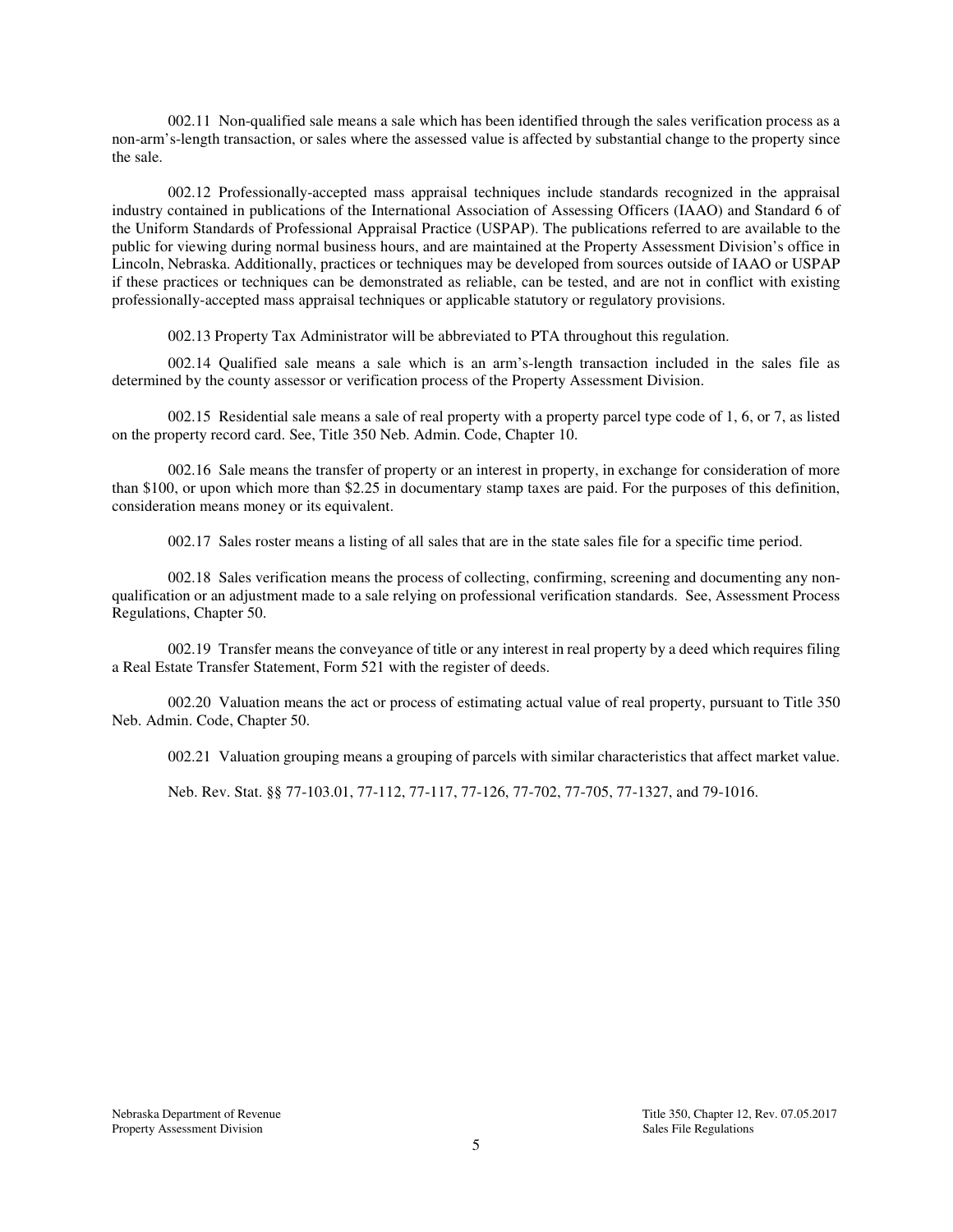002.11 Non-qualified sale means a sale which has been identified through the sales verification process as a non-arm's-length transaction, or sales where the assessed value is affected by substantial change to the property since the sale.

002.12 Professionally-accepted mass appraisal techniques include standards recognized in the appraisal industry contained in publications of the International Association of Assessing Officers (IAAO) and Standard 6 of the Uniform Standards of Professional Appraisal Practice (USPAP). The publications referred to are available to the public for viewing during normal business hours, and are maintained at the Property Assessment Division's office in Lincoln, Nebraska. Additionally, practices or techniques may be developed from sources outside of IAAO or USPAP if these practices or techniques can be demonstrated as reliable, can be tested, and are not in conflict with existing professionally-accepted mass appraisal techniques or applicable statutory or regulatory provisions.

002.13 Property Tax Administrator will be abbreviated to PTA throughout this regulation.

002.14 Qualified sale means a sale which is an arm's-length transaction included in the sales file as determined by the county assessor or verification process of the Property Assessment Division.

002.15 Residential sale means a sale of real property with a property parcel type code of 1, 6, or 7, as listed on the property record card. See, Title 350 Neb. Admin. Code, Chapter 10.

002.16 Sale means the transfer of property or an interest in property, in exchange for consideration of more than \$100, or upon which more than \$2.25 in documentary stamp taxes are paid. For the purposes of this definition, consideration means money or its equivalent.

002.17 Sales roster means a listing of all sales that are in the state sales file for a specific time period.

002.18 Sales verification means the process of collecting, confirming, screening and documenting any nonqualification or an adjustment made to a sale relying on professional verification standards. See, Assessment Process Regulations, Chapter 50.

002.19 Transfer means the conveyance of title or any interest in real property by a deed which requires filing a Real Estate Transfer Statement, Form 521 with the register of deeds.

002.20 Valuation means the act or process of estimating actual value of real property, pursuant to Title 350 Neb. Admin. Code, Chapter 50.

002.21 Valuation grouping means a grouping of parcels with similar characteristics that affect market value.

Neb. Rev. Stat. §§ 77-103.01, 77-112, 77-117, 77-126, 77-702, 77-705, 77-1327, and 79-1016.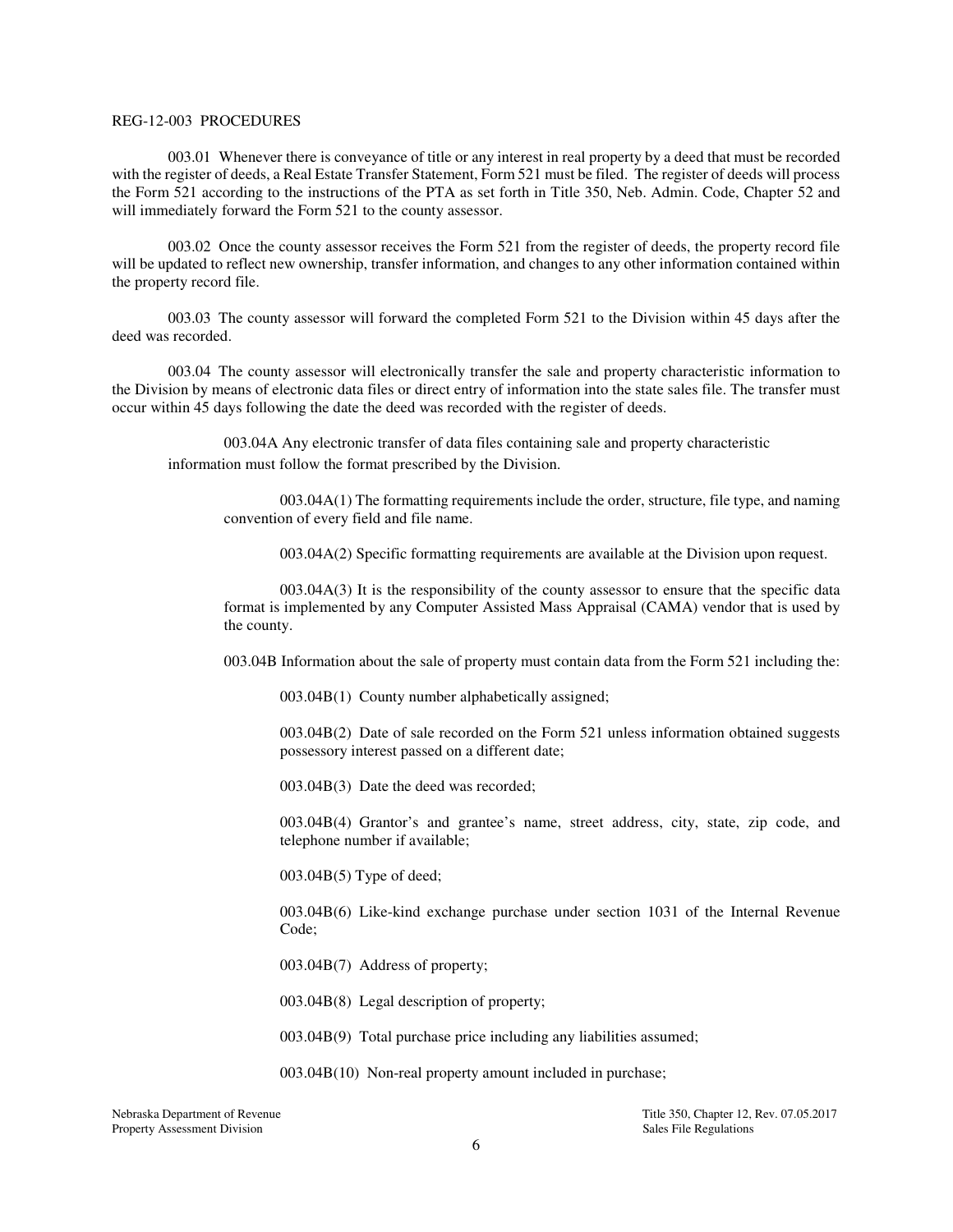#### REG-12-003 PROCEDURES

003.01 Whenever there is conveyance of title or any interest in real property by a deed that must be recorded with the register of deeds, a Real Estate Transfer Statement, Form 521 must be filed. The register of deeds will process the Form 521 according to the instructions of the PTA as set forth in Title 350, Neb. Admin. Code, Chapter 52 and will immediately forward the Form 521 to the county assessor.

003.02 Once the county assessor receives the Form 521 from the register of deeds, the property record file will be updated to reflect new ownership, transfer information, and changes to any other information contained within the property record file.

003.03 The county assessor will forward the completed Form 521 to the Division within 45 days after the deed was recorded.

003.04 The county assessor will electronically transfer the sale and property characteristic information to the Division by means of electronic data files or direct entry of information into the state sales file. The transfer must occur within 45 days following the date the deed was recorded with the register of deeds.

003.04A Any electronic transfer of data files containing sale and property characteristic information must follow the format prescribed by the Division.

003.04A(1) The formatting requirements include the order, structure, file type, and naming convention of every field and file name.

003.04A(2) Specific formatting requirements are available at the Division upon request.

003.04A(3) It is the responsibility of the county assessor to ensure that the specific data format is implemented by any Computer Assisted Mass Appraisal (CAMA) vendor that is used by the county.

003.04B Information about the sale of property must contain data from the Form 521 including the:

003.04B(1) County number alphabetically assigned;

003.04B(2) Date of sale recorded on the Form 521 unless information obtained suggests possessory interest passed on a different date;

003.04B(3) Date the deed was recorded;

003.04B(4) Grantor's and grantee's name, street address, city, state, zip code, and telephone number if available;

003.04B(5) Type of deed;

003.04B(6) Like-kind exchange purchase under section 1031 of the Internal Revenue Code;

003.04B(7) Address of property;

003.04B(8) Legal description of property;

003.04B(9) Total purchase price including any liabilities assumed;

003.04B(10) Non-real property amount included in purchase;

Property Assessment Division

Nebraska Department of Revenue Title 350, Chapter 12, Rev. 07.05.2017<br>Property Assessment Division Sales File Regulations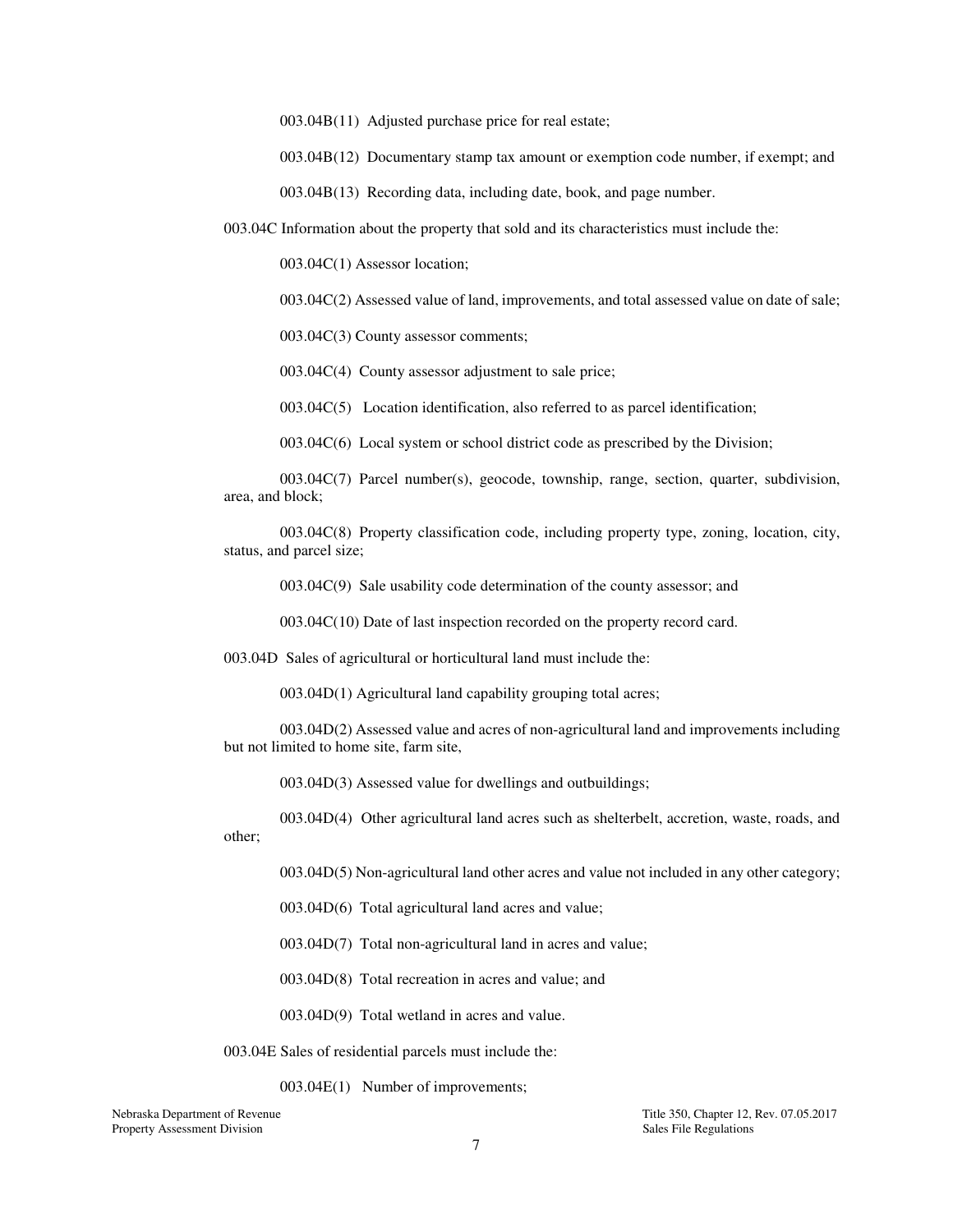003.04B(11) Adjusted purchase price for real estate;

003.04B(12) Documentary stamp tax amount or exemption code number, if exempt; and

003.04B(13) Recording data, including date, book, and page number.

003.04C Information about the property that sold and its characteristics must include the:

003.04C(1) Assessor location;

003.04C(2) Assessed value of land, improvements, and total assessed value on date of sale;

003.04C(3) County assessor comments;

003.04C(4) County assessor adjustment to sale price;

003.04C(5) Location identification, also referred to as parcel identification;

003.04C(6) Local system or school district code as prescribed by the Division;

003.04C(7) Parcel number(s), geocode, township, range, section, quarter, subdivision, area, and block;

003.04C(8) Property classification code, including property type, zoning, location, city, status, and parcel size;

003.04C(9) Sale usability code determination of the county assessor; and

003.04C(10) Date of last inspection recorded on the property record card.

003.04D Sales of agricultural or horticultural land must include the:

003.04D(1) Agricultural land capability grouping total acres;

003.04D(2) Assessed value and acres of non-agricultural land and improvements including but not limited to home site, farm site,

003.04D(3) Assessed value for dwellings and outbuildings;

003.04D(4) Other agricultural land acres such as shelterbelt, accretion, waste, roads, and other;

003.04D(5) Non-agricultural land other acres and value not included in any other category;

003.04D(6) Total agricultural land acres and value;

003.04D(7) Total non-agricultural land in acres and value;

003.04D(8) Total recreation in acres and value; and

003.04D(9) Total wetland in acres and value.

003.04E Sales of residential parcels must include the:

003.04E(1) Number of improvements;

Property Assessment Division

Nebraska Department of Revenue Title 350, Chapter 12, Rev. 07.05.2017<br>Property Assessment Division Sales File Regulations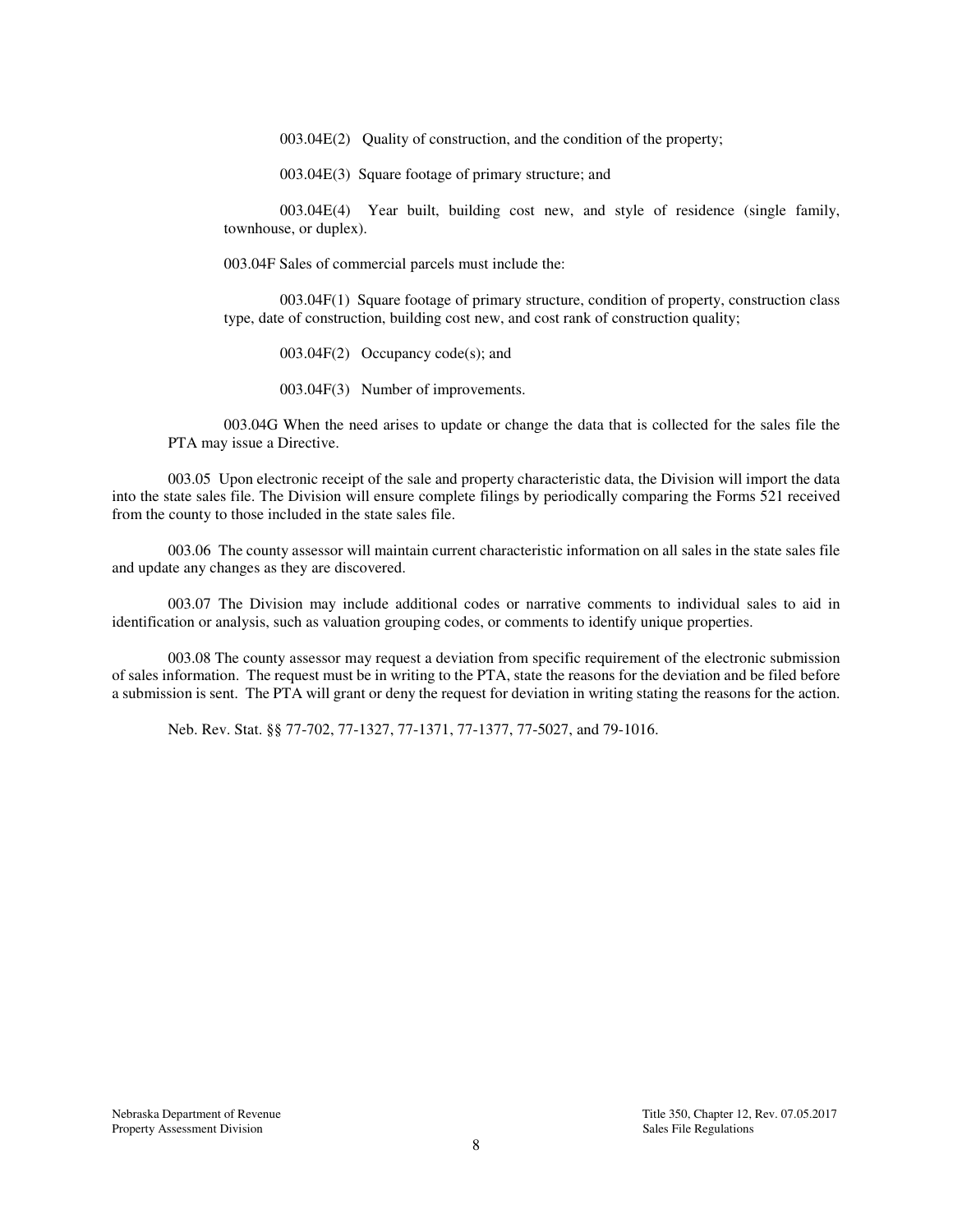003.04E(2) Quality of construction, and the condition of the property;

003.04E(3) Square footage of primary structure; and

003.04E(4) Year built, building cost new, and style of residence (single family, townhouse, or duplex).

003.04F Sales of commercial parcels must include the:

003.04F(1) Square footage of primary structure, condition of property, construction class type, date of construction, building cost new, and cost rank of construction quality;

003.04F(2) Occupancy code(s); and

003.04F(3) Number of improvements.

003.04G When the need arises to update or change the data that is collected for the sales file the PTA may issue a Directive.

003.05 Upon electronic receipt of the sale and property characteristic data, the Division will import the data into the state sales file. The Division will ensure complete filings by periodically comparing the Forms 521 received from the county to those included in the state sales file.

003.06 The county assessor will maintain current characteristic information on all sales in the state sales file and update any changes as they are discovered.

003.07 The Division may include additional codes or narrative comments to individual sales to aid in identification or analysis, such as valuation grouping codes, or comments to identify unique properties.

003.08 The county assessor may request a deviation from specific requirement of the electronic submission of sales information. The request must be in writing to the PTA, state the reasons for the deviation and be filed before a submission is sent. The PTA will grant or deny the request for deviation in writing stating the reasons for the action.

Neb. Rev. Stat. §§ 77-702, 77-1327, 77-1371, 77-1377, 77-5027, and 79-1016.